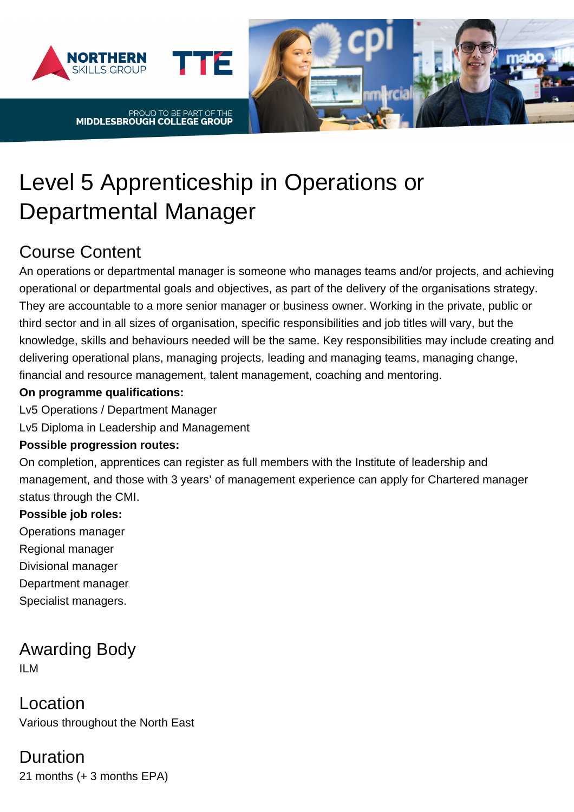



# Level 5 Apprenticeship in Operations or

# Departmental Manager

# Course Content

An operations or departmental manager is someone who manages teams and/or projects, and achieving operational or departmental goals and objectives, as part of the delivery of the organisations strategy. They are accountable to a more senior manager or business owner. Working in the private, public or third sector and in all sizes of organisation, specific responsibilities and job titles will vary, but the knowledge, skills and behaviours needed will be the same. Key responsibilities may include creating and delivering operational plans, managing projects, leading and managing teams, managing change, financial and resource management, talent management, coaching and mentoring.

#### **On programme qualifications:**

Lv5 Operations / Department Manager

Lv5 Diploma in Leadership and Management

#### **Possible progression routes:**

On completion, apprentices can register as full members with the Institute of leadership and management, and those with 3 years' of management experience can apply for Chartered manager status through the CMI.

#### **Possible job roles:**

- Operations manager Regional manager Divisional manager
- Department manager
- Specialist managers.

Awarding Body ILM

Location Various throughout the North East

#### Duration 21 months (+ 3 months EPA)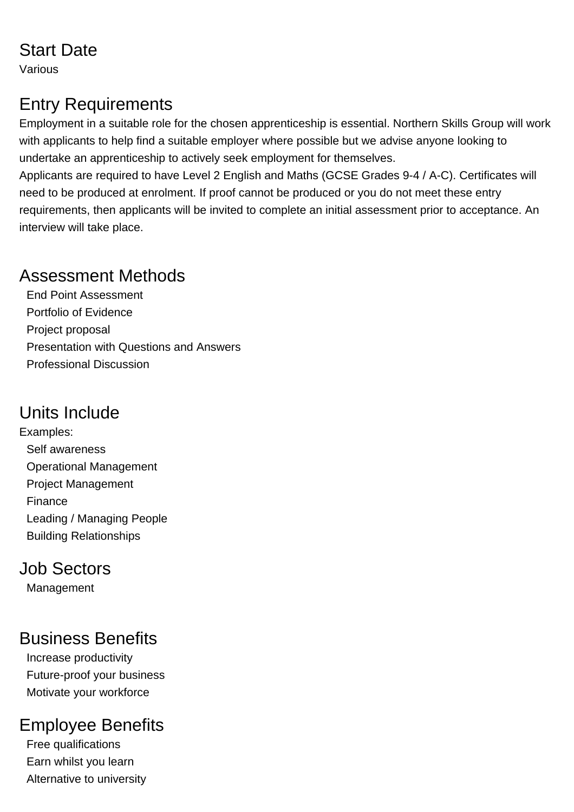### Start Date

Various

# Entry Requirements

Employment in a suitable role for the chosen apprenticeship is essential. Northern Skills Group will work with applicants to help find a suitable employer where possible but we advise anyone looking to undertake an apprenticeship to actively seek employment for themselves.

Applicants are required to have Level 2 English and Maths (GCSE Grades 9-4 / A-C). Certificates will need to be produced at enrolment. If proof cannot be produced or you do not meet these entry requirements, then applicants will be invited to complete an initial assessment prior to acceptance. An interview will take place.

#### Assessment Methods

End Point Assessment Portfolio of Evidence Project proposal Presentation with Questions and Answers Professional Discussion

#### Units Include

Examples: Self awareness Operational Management Project Management Finance Leading / Managing People Building Relationships

#### Job Sectors

Management

# Business Benefits

Increase productivity Future-proof your business Motivate your workforce

# Employee Benefits

Free qualifications Earn whilst you learn Alternative to university